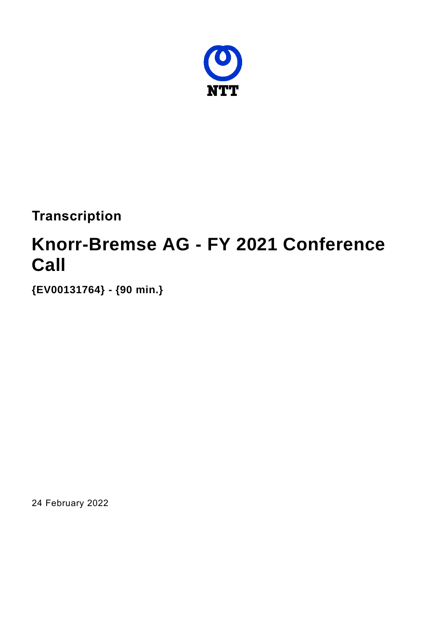

**Transcription**

# **Knorr-Bremse AG - FY 2021 Conference Call**

**{EV00131764} - {90 min.}**

24 February 2022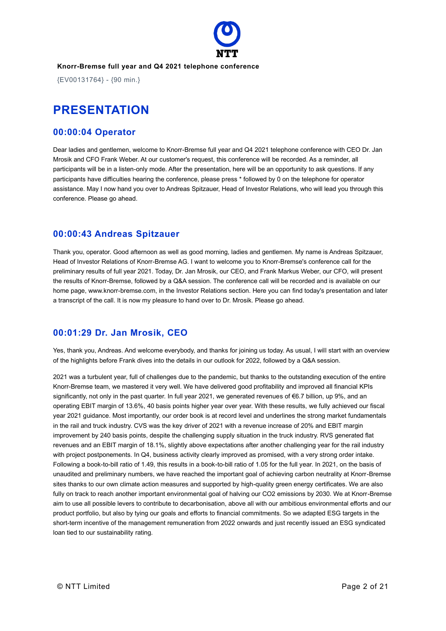

{EV00131764} - {90 min.}

# **PRESENTATION**

### **00:00:04 Operator**

Dear ladies and gentlemen, welcome to Knorr-Bremse full year and Q4 2021 telephone conference with CEO Dr. Jan Mrosik and CFO Frank Weber. At our customer's request, this conference will be recorded. As a reminder, all participants will be in a listen-only mode. After the presentation, here will be an opportunity to ask questions. If any participants have difficulties hearing the conference, please press \* followed by 0 on the telephone for operator assistance. May I now hand you over to Andreas Spitzauer, Head of Investor Relations, who will lead you through this conference. Please go ahead.

### **00:00:43 Andreas Spitzauer**

Thank you, operator. Good afternoon as well as good morning, ladies and gentlemen. My name is Andreas Spitzauer, Head of Investor Relations of Knorr-Bremse AG. I want to welcome you to Knorr-Bremse's conference call for the preliminary results of full year 2021. Today, Dr. Jan Mrosik, our CEO, and Frank Markus Weber, our CFO, will present the results of Knorr-Bremse, followed by a Q&A session. The conference call will be recorded and is available on our home page, www.knorr-bremse.com, in the Investor Relations section. Here you can find today's presentation and later a transcript of the call. It is now my pleasure to hand over to Dr. Mrosik. Please go ahead.

### **00:01:29 Dr. Jan Mrosik, CEO**

Yes, thank you, Andreas. And welcome everybody, and thanks for joining us today. As usual, I will start with an overview of the highlights before Frank dives into the details in our outlook for 2022, followed by a Q&A session.

2021 was a turbulent year, full of challenges due to the pandemic, but thanks to the outstanding execution of the entire Knorr-Bremse team, we mastered it very well. We have delivered good profitability and improved all financial KPIs significantly, not only in the past quarter. In full year 2021, we generated revenues of €6.7 billion, up 9%, and an operating EBIT margin of 13.6%, 40 basis points higher year over year. With these results, we fully achieved our fiscal year 2021 guidance. Most importantly, our order book is at record level and underlines the strong market fundamentals in the rail and truck industry. CVS was the key driver of 2021 with a revenue increase of 20% and EBIT margin improvement by 240 basis points, despite the challenging supply situation in the truck industry. RVS generated flat revenues and an EBIT margin of 18.1%, slightly above expectations after another challenging year for the rail industry with project postponements. In Q4, business activity clearly improved as promised, with a very strong order intake. Following a book-to-bill ratio of 1.49, this results in a book-to-bill ratio of 1.05 for the full year. In 2021, on the basis of unaudited and preliminary numbers, we have reached the important goal of achieving carbon neutrality at Knorr-Bremse sites thanks to our own climate action measures and supported by high-quality green energy certificates. We are also fully on track to reach another important environmental goal of halving our CO2 emissions by 2030. We at Knorr-Bremse aim to use all possible levers to contribute to decarbonisation, above all with our ambitious environmental efforts and our product portfolio, but also by tying our goals and efforts to financial commitments. So we adapted ESG targets in the short-term incentive of the management remuneration from 2022 onwards and just recently issued an ESG syndicated loan tied to our sustainability rating.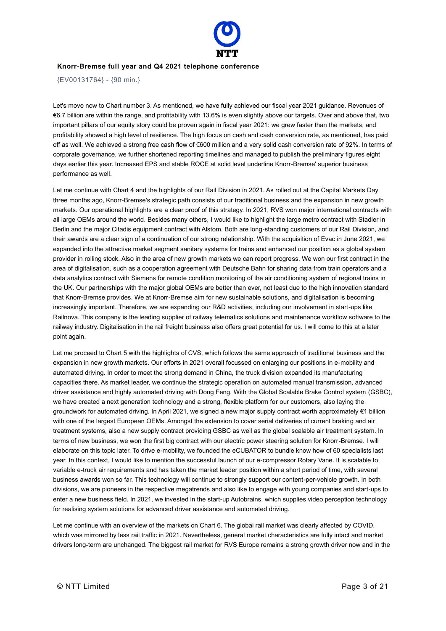

{EV00131764} - {90 min.}

Let's move now to Chart number 3. As mentioned, we have fully achieved our fiscal year 2021 guidance. Revenues of €6.7 billion are within the range, and profitability with 13.6% is even slightly above our targets. Over and above that, two important pillars of our equity story could be proven again in fiscal year 2021: we grew faster than the markets, and profitability showed a high level of resilience. The high focus on cash and cash conversion rate, as mentioned, has paid off as well. We achieved a strong free cash flow of €600 million and a very solid cash conversion rate of 92%. In terms of corporate governance, we further shortened reporting timelines and managed to publish the preliminary figures eight days earlier this year. Increased EPS and stable ROCE at solid level underline Knorr-Bremse' superior business performance as well.

Let me continue with Chart 4 and the highlights of our Rail Division in 2021. As rolled out at the Capital Markets Day three months ago, Knorr-Bremse's strategic path consists of our traditional business and the expansion in new growth markets. Our operational highlights are a clear proof of this strategy. In 2021, RVS won major international contracts with all large OEMs around the world. Besides many others, I would like to highlight the large metro contract with Stadler in Berlin and the major Citadis equipment contract with Alstom. Both are long-standing customers of our Rail Division, and their awards are a clear sign of a continuation of our strong relationship. With the acquisition of Evac in June 2021, we expanded into the attractive market segment sanitary systems for trains and enhanced our position as a global system provider in rolling stock. Also in the area of new growth markets we can report progress. We won our first contract in the area of digitalisation, such as a cooperation agreement with Deutsche Bahn for sharing data from train operators and a data analytics contract with Siemens for remote condition monitoring of the air conditioning system of regional trains in the UK. Our partnerships with the major global OEMs are better than ever, not least due to the high innovation standard that Knorr-Bremse provides. We at Knorr-Bremse aim for new sustainable solutions, and digitalisation is becoming increasingly important. Therefore, we are expanding our R&D activities, including our involvement in start-ups like Railnova. This company is the leading supplier of railway telematics solutions and maintenance workflow software to the railway industry. Digitalisation in the rail freight business also offers great potential for us. I will come to this at a later point again.

Let me proceed to Chart 5 with the highlights of CVS, which follows the same approach of traditional business and the expansion in new growth markets. Our efforts in 2021 overall focussed on enlarging our positions in e-mobility and automated driving. In order to meet the strong demand in China, the truck division expanded its manufacturing capacities there. As market leader, we continue the strategic operation on automated manual transmission, advanced driver assistance and highly automated driving with Dong Feng. With the Global Scalable Brake Control system (GSBC), we have created a next generation technology and a strong, flexible platform for our customers, also laying the groundwork for automated driving. In April 2021, we signed a new major supply contract worth approximately €1 billion with one of the largest European OEMs. Amongst the extension to cover serial deliveries of current braking and air treatment systems, also a new supply contract providing GSBC as well as the global scalable air treatment system. In terms of new business, we won the first big contract with our electric power steering solution for Knorr-Bremse. I will elaborate on this topic later. To drive e-mobility, we founded the eCUBATOR to bundle know how of 60 specialists last year. In this context, I would like to mention the successful launch of our e-compressor Rotary Vane. It is scalable to variable e-truck air requirements and has taken the market leader position within a short period of time, with several business awards won so far. This technology will continue to strongly support our content-per-vehicle growth. In both divisions, we are pioneers in the respective megatrends and also like to engage with young companies and start-ups to enter a new business field. In 2021, we invested in the start-up Autobrains, which supplies video perception technology for realising system solutions for advanced driver assistance and automated driving.

Let me continue with an overview of the markets on Chart 6. The global rail market was clearly affected by COVID, which was mirrored by less rail traffic in 2021. Nevertheless, general market characteristics are fully intact and market drivers long-term are unchanged. The biggest rail market for RVS Europe remains a strong growth driver now and in the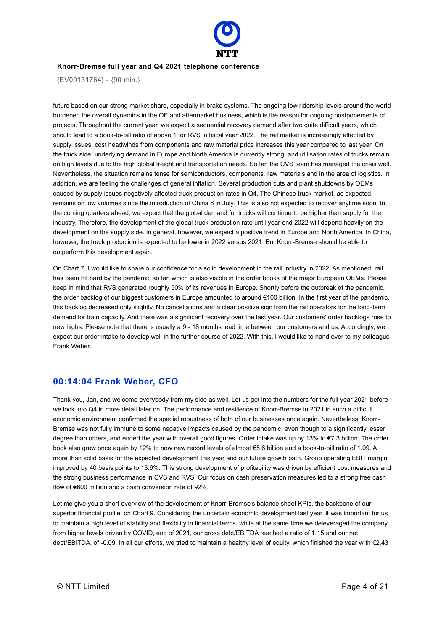

{EV00131764} - {90 min.}

future based on our strong market share, especially in brake systems. The ongoing low ridership levels around the world burdened the overall dynamics in the OE and aftermarket business, which is the reason for ongoing postponements of projects. Throughout the current year, we expect a sequential recovery demand after two quite difficult years, which should lead to a book-to-bill ratio of above 1 for RVS in fiscal year 2022. The rail market is increasingly affected by supply issues, cost headwinds from components and raw material price increases this year compared to last year. On the truck side, underlying demand in Europe and North America is currently strong, and utilisation rates of trucks remain on high levels due to the high global freight and transportation needs. So far, the CVS team has managed the crisis well. Nevertheless, the situation remains tense for semiconductors, components, raw materials and in the area of logistics. In addition, we are feeling the challenges of general inflation. Several production cuts and plant shutdowns by OEMs caused by supply issues negatively affected truck production rates in Q4. The Chinese truck market, as expected, remains on low volumes since the introduction of China 6 in July. This is also not expected to recover anytime soon. In the coming quarters ahead, we expect that the global demand for trucks will continue to be higher than supply for the industry. Therefore, the development of the global truck production rate until year end 2022 will depend heavily on the development on the supply side. In general, however, we expect a positive trend in Europe and North America. In China, however, the truck production is expected to be lower in 2022 versus 2021. But Knorr-Bremse should be able to outperform this development again.

On Chart 7, I would like to share our confidence for a solid development in the rail industry in 2022. As mentioned, rail has been hit hard by the pandemic so far, which is also visible in the order books of the major European OEMs. Please keep in mind that RVS generated roughly 50% of its revenues in Europe. Shortly before the outbreak of the pandemic, the order backlog of our biggest customers in Europe amounted to around €100 billion. In the first year of the pandemic, this backlog decreased only slightly. No cancellations and a clear positive sign from the rail operators for the long-term demand for train capacity. And there was a significant recovery over the last year. Our customers' order backlogs rose to new highs. Please note that there is usually a 9 - 18 months lead time between our customers and us. Accordingly, we expect our order intake to develop well in the further course of 2022. With this, I would like to hand over to my colleague Frank Weber.

### **00:14:04 Frank Weber, CFO**

Thank you, Jan, and welcome everybody from my side as well. Let us get into the numbers for the full year 2021 before we look into Q4 in more detail later on. The performance and resilience of Knorr-Bremse in 2021 in such a difficult economic environment confirmed the special robustness of both of our businesses once again. Nevertheless, Knorr-Bremse was not fully immune to some negative impacts caused by the pandemic, even though to a significantly lesser degree than others, and ended the year with overall good figures. Order intake was up by 13% to €7.3 billion. The order book also grew once again by 12% to now new record levels of almost €5.6 billion and a book-to-bill ratio of 1.09. A more than solid basis for the expected development this year and our future growth path. Group operating EBIT margin improved by 40 basis points to 13.6%. This strong development of profitability was driven by efficient cost measures and the strong business performance in CVS and RVS. Our focus on cash preservation measures led to a strong free cash flow of €600 million and a cash conversion rate of 92%.

Let me give you a short overview of the development of Knorr-Bremse's balance sheet KPIs, the backbone of our superior financial profile, on Chart 9. Considering the uncertain economic development last year, it was important for us to maintain a high level of stability and flexibility in financial terms, while at the same time we deleveraged the company from higher levels driven by COVID, end of 2021, our gross debt/EBITDA reached a ratio of 1.15 and our net debt/EBITDA, of -0.09. In all our efforts, we tried to maintain a healthy level of equity, which finished the year with €2.43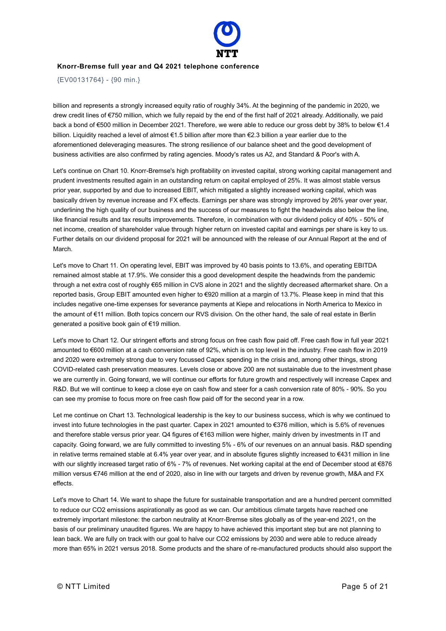

{EV00131764} - {90 min.}

billion and represents a strongly increased equity ratio of roughly 34%. At the beginning of the pandemic in 2020, we drew credit lines of €750 million, which we fully repaid by the end of the first half of 2021 already. Additionally, we paid back a bond of €500 million in December 2021. Therefore, we were able to reduce our gross debt by 38% to below €1.4 billion. Liquidity reached a level of almost €1.5 billion after more than €2.3 billion a year earlier due to the aforementioned deleveraging measures. The strong resilience of our balance sheet and the good development of business activities are also confirmed by rating agencies. Moody's rates us A2, and Standard & Poor's with A.

Let's continue on Chart 10. Knorr-Bremse's high profitability on invested capital, strong working capital management and prudent investments resulted again in an outstanding return on capital employed of 25%. It was almost stable versus prior year, supported by and due to increased EBIT, which mitigated a slightly increased working capital, which was basically driven by revenue increase and FX effects. Earnings per share was strongly improved by 26% year over year, underlining the high quality of our business and the success of our measures to fight the headwinds also below the line, like financial results and tax results improvements. Therefore, in combination with our dividend policy of 40% - 50% of net income, creation of shareholder value through higher return on invested capital and earnings per share is key to us. Further details on our dividend proposal for 2021 will be announced with the release of our Annual Report at the end of March.

Let's move to Chart 11. On operating level, EBIT was improved by 40 basis points to 13.6%, and operating EBITDA remained almost stable at 17.9%. We consider this a good development despite the headwinds from the pandemic through a net extra cost of roughly €65 million in CVS alone in 2021 and the slightly decreased aftermarket share. On a reported basis, Group EBIT amounted even higher to €920 million at a margin of 13.7%. Please keep in mind that this includes negative one-time expenses for severance payments at Kiepe and relocations in North America to Mexico in the amount of €11 million. Both topics concern our RVS division. On the other hand, the sale of real estate in Berlin generated a positive book gain of €19 million.

Let's move to Chart 12. Our stringent efforts and strong focus on free cash flow paid off. Free cash flow in full year 2021 amounted to €600 million at a cash conversion rate of 92%, which is on top level in the industry. Free cash flow in 2019 and 2020 were extremely strong due to very focussed Capex spending in the crisis and, among other things, strong COVID-related cash preservation measures. Levels close or above 200 are not sustainable due to the investment phase we are currently in. Going forward, we will continue our efforts for future growth and respectively will increase Capex and R&D. But we will continue to keep a close eye on cash flow and steer for a cash conversion rate of 80% - 90%. So you can see my promise to focus more on free cash flow paid off for the second year in a row.

Let me continue on Chart 13. Technological leadership is the key to our business success, which is why we continued to invest into future technologies in the past quarter. Capex in 2021 amounted to €376 million, which is 5.6% of revenues and therefore stable versus prior year. Q4 figures of €163 million were higher, mainly driven by investments in IT and capacity. Going forward, we are fully committed to investing 5% - 6% of our revenues on an annual basis. R&D spending in relative terms remained stable at 6.4% year over year, and in absolute figures slightly increased to €431 million in line with our slightly increased target ratio of 6% - 7% of revenues. Net working capital at the end of December stood at €876 million versus €746 million at the end of 2020, also in line with our targets and driven by revenue growth, M&A and FX effects.

Let's move to Chart 14. We want to shape the future for sustainable transportation and are a hundred percent committed to reduce our CO2 emissions aspirationally as good as we can. Our ambitious climate targets have reached one extremely important milestone: the carbon neutrality at Knorr-Bremse sites globally as of the year-end 2021, on the basis of our preliminary unaudited figures. We are happy to have achieved this important step but are not planning to lean back. We are fully on track with our goal to halve our CO2 emissions by 2030 and were able to reduce already more than 65% in 2021 versus 2018. Some products and the share of re-manufactured products should also support the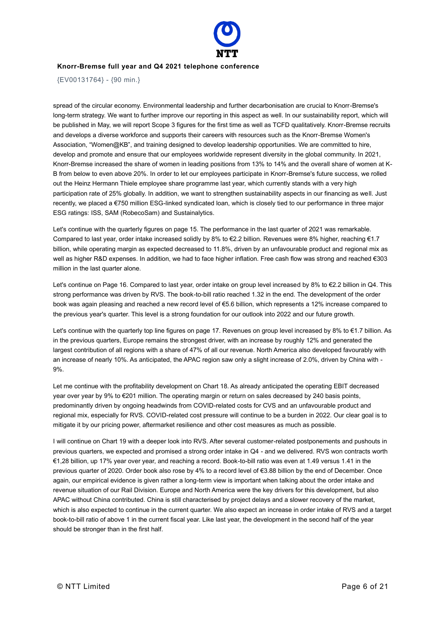

{EV00131764} - {90 min.}

spread of the circular economy. Environmental leadership and further decarbonisation are crucial to Knorr-Bremse's long-term strategy. We want to further improve our reporting in this aspect as well. In our sustainability report, which will be published in May, we will report Scope 3 figures for the first time as well as TCFD qualitatively. Knorr-Bremse recruits and develops a diverse workforce and supports their careers with resources such as the Knorr-Bremse Women's Association, "Women@KB", and training designed to develop leadership opportunities. We are committed to hire, develop and promote and ensure that our employees worldwide represent diversity in the global community. In 2021, Knorr-Bremse increased the share of women in leading positions from 13% to 14% and the overall share of women at K-B from below to even above 20%. In order to let our employees participate in Knorr-Bremse's future success, we rolled out the Heinz Hermann Thiele employee share programme last year, which currently stands with a very high participation rate of 25% globally. In addition, we want to strengthen sustainability aspects in our financing as well. Just recently, we placed a €750 million ESG-linked syndicated loan, which is closely tied to our performance in three major ESG ratings: ISS, SAM (RobecoSam) and Sustainalytics.

Let's continue with the quarterly figures on page 15. The performance in the last quarter of 2021 was remarkable. Compared to last year, order intake increased solidly by 8% to €2.2 billion. Revenues were 8% higher, reaching €1.7 billion, while operating margin as expected decreased to 11.8%, driven by an unfavourable product and regional mix as well as higher R&D expenses. In addition, we had to face higher inflation. Free cash flow was strong and reached €303 million in the last quarter alone.

Let's continue on Page 16. Compared to last year, order intake on group level increased by 8% to €2.2 billion in Q4. This strong performance was driven by RVS. The book-to-bill ratio reached 1.32 in the end. The development of the order book was again pleasing and reached a new record level of €5.6 billion, which represents a 12% increase compared to the previous year's quarter. This level is a strong foundation for our outlook into 2022 and our future growth.

Let's continue with the quarterly top line figures on page 17. Revenues on group level increased by 8% to €1.7 billion. As in the previous quarters, Europe remains the strongest driver, with an increase by roughly 12% and generated the largest contribution of all regions with a share of 47% of all our revenue. North America also developed favourably with an increase of nearly 10%. As anticipated, the APAC region saw only a slight increase of 2.0%, driven by China with - 9%.

Let me continue with the profitability development on Chart 18. As already anticipated the operating EBIT decreased year over year by 9% to €201 million. The operating margin or return on sales decreased by 240 basis points, predominantly driven by ongoing headwinds from COVID-related costs for CVS and an unfavourable product and regional mix, especially for RVS. COVID-related cost pressure will continue to be a burden in 2022. Our clear goal is to mitigate it by our pricing power, aftermarket resilience and other cost measures as much as possible.

I will continue on Chart 19 with a deeper look into RVS. After several customer-related postponements and pushouts in previous quarters, we expected and promised a strong order intake in Q4 - and we delivered. RVS won contracts worth €1,28 billion, up 17% year over year, and reaching a record. Book-to-bill ratio was even at 1.49 versus 1.41 in the previous quarter of 2020. Order book also rose by 4% to a record level of €3.88 billion by the end of December. Once again, our empirical evidence is given rather a long-term view is important when talking about the order intake and revenue situation of our Rail Division. Europe and North America were the key drivers for this development, but also APAC without China contributed. China is still characterised by project delays and a slower recovery of the market, which is also expected to continue in the current quarter. We also expect an increase in order intake of RVS and a target book-to-bill ratio of above 1 in the current fiscal year. Like last year, the development in the second half of the year should be stronger than in the first half.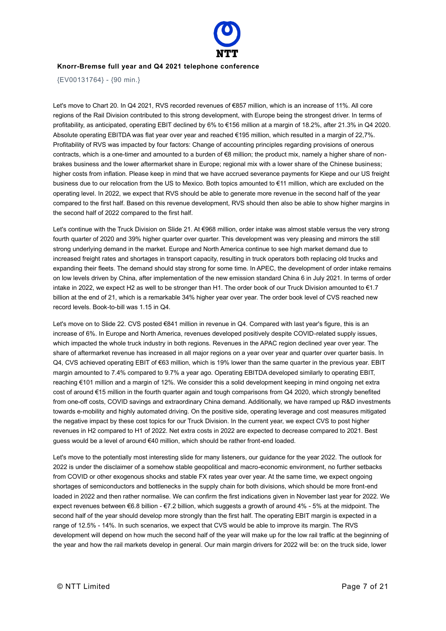

{EV00131764} - {90 min.}

Let's move to Chart 20. In Q4 2021, RVS recorded revenues of €857 million, which is an increase of 11%. All core regions of the Rail Division contributed to this strong development, with Europe being the strongest driver. In terms of profitability, as anticipated, operating EBIT declined by 6% to €156 million at a margin of 18.2%, after 21.3% in Q4 2020. Absolute operating EBITDA was flat year over year and reached €195 million, which resulted in a margin of 22,7%. Profitability of RVS was impacted by four factors: Change of accounting principles regarding provisions of onerous contracts, which is a one-timer and amounted to a burden of €8 million; the product mix, namely a higher share of nonbrakes business and the lower aftermarket share in Europe; regional mix with a lower share of the Chinese business; higher costs from inflation. Please keep in mind that we have accrued severance payments for Kiepe and our US freight business due to our relocation from the US to Mexico. Both topics amounted to €11 million, which are excluded on the operating level. In 2022, we expect that RVS should be able to generate more revenue in the second half of the year compared to the first half. Based on this revenue development, RVS should then also be able to show higher margins in the second half of 2022 compared to the first half.

Let's continue with the Truck Division on Slide 21. At €968 million, order intake was almost stable versus the very strong fourth quarter of 2020 and 39% higher quarter over quarter. This development was very pleasing and mirrors the still strong underlying demand in the market. Europe and North America continue to see high market demand due to increased freight rates and shortages in transport capacity, resulting in truck operators both replacing old trucks and expanding their fleets. The demand should stay strong for some time. In APEC, the development of order intake remains on low levels driven by China, after implementation of the new emission standard China 6 in July 2021. In terms of order intake in 2022, we expect H2 as well to be stronger than H1. The order book of our Truck Division amounted to €1.7 billion at the end of 21, which is a remarkable 34% higher year over year. The order book level of CVS reached new record levels. Book-to-bill was 1.15 in Q4.

Let's move on to Slide 22. CVS posted €841 million in revenue in Q4. Compared with last year's figure, this is an increase of 6%. In Europe and North America, revenues developed positively despite COVID-related supply issues, which impacted the whole truck industry in both regions. Revenues in the APAC region declined year over year. The share of aftermarket revenue has increased in all major regions on a year over year and quarter over quarter basis. In Q4, CVS achieved operating EBIT of €63 million, which is 19% lower than the same quarter in the previous year. EBIT margin amounted to 7.4% compared to 9.7% a year ago. Operating EBITDA developed similarly to operating EBIT, reaching €101 million and a margin of 12%. We consider this a solid development keeping in mind ongoing net extra cost of around €15 million in the fourth quarter again and tough comparisons from Q4 2020, which strongly benefited from one-off costs, COVID savings and extraordinary China demand. Additionally, we have ramped up R&D investments towards e-mobility and highly automated driving. On the positive side, operating leverage and cost measures mitigated the negative impact by these cost topics for our Truck Division. In the current year, we expect CVS to post higher revenues in H2 compared to H1 of 2022. Net extra costs in 2022 are expected to decrease compared to 2021. Best guess would be a level of around €40 million, which should be rather front-end loaded.

Let's move to the potentially most interesting slide for many listeners, our guidance for the year 2022. The outlook for 2022 is under the disclaimer of a somehow stable geopolitical and macro-economic environment, no further setbacks from COVID or other exogenous shocks and stable FX rates year over year. At the same time, we expect ongoing shortages of semiconductors and bottlenecks in the supply chain for both divisions, which should be more front-end loaded in 2022 and then rather normalise. We can confirm the first indications given in November last year for 2022. We expect revenues between €6.8 billion - €7.2 billion, which suggests a growth of around 4% - 5% at the midpoint. The second half of the year should develop more strongly than the first half. The operating EBIT margin is expected in a range of 12.5% - 14%. In such scenarios, we expect that CVS would be able to improve its margin. The RVS development will depend on how much the second half of the year will make up for the low rail traffic at the beginning of the year and how the rail markets develop in general. Our main margin drivers for 2022 will be: on the truck side, lower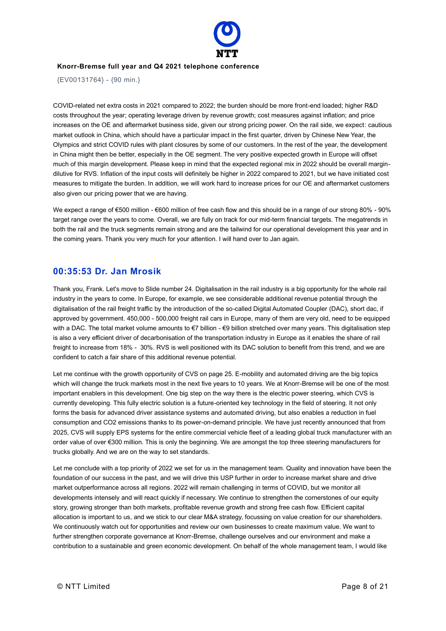

{EV00131764} - {90 min.}

COVID-related net extra costs in 2021 compared to 2022; the burden should be more front-end loaded; higher R&D costs throughout the year; operating leverage driven by revenue growth; cost measures against inflation; and price increases on the OE and aftermarket business side, given our strong pricing power. On the rail side, we expect: cautious market outlook in China, which should have a particular impact in the first quarter, driven by Chinese New Year, the Olympics and strict COVID rules with plant closures by some of our customers. In the rest of the year, the development in China might then be better, especially in the OE segment. The very positive expected growth in Europe will offset much of this margin development. Please keep in mind that the expected regional mix in 2022 should be overall margindilutive for RVS. Inflation of the input costs will definitely be higher in 2022 compared to 2021, but we have initiated cost measures to mitigate the burden. In addition, we will work hard to increase prices for our OE and aftermarket customers also given our pricing power that we are having.

We expect a range of €500 million - €600 million of free cash flow and this should be in a range of our strong 80% - 90% target range over the years to come. Overall, we are fully on track for our mid-term financial targets. The megatrends in both the rail and the truck segments remain strong and are the tailwind for our operational development this year and in the coming years. Thank you very much for your attention. I will hand over to Jan again.

### **00:35:53 Dr. Jan Mrosik**

Thank you, Frank. Let's move to Slide number 24. Digitalisation in the rail industry is a big opportunity for the whole rail industry in the years to come. In Europe, for example, we see considerable additional revenue potential through the digitalisation of the rail freight traffic by the introduction of the so-called Digital Automated Coupler (DAC), short dac, if approved by government. 450,000 - 500,000 freight rail cars in Europe, many of them are very old, need to be equipped with a DAC. The total market volume amounts to €7 billion - €9 billion stretched over many years. This digitalisation step is also a very efficient driver of decarbonisation of the transportation industry in Europe as it enables the share of rail freight to increase from 18% - 30%. RVS is well positioned with its DAC solution to benefit from this trend, and we are confident to catch a fair share of this additional revenue potential.

Let me continue with the growth opportunity of CVS on page 25. E-mobility and automated driving are the big topics which will change the truck markets most in the next five years to 10 years. We at Knorr-Bremse will be one of the most important enablers in this development. One big step on the way there is the electric power steering, which CVS is currently developing. This fully electric solution is a future-oriented key technology in the field of steering. It not only forms the basis for advanced driver assistance systems and automated driving, but also enables a reduction in fuel consumption and CO2 emissions thanks to its power-on-demand principle. We have just recently announced that from 2025, CVS will supply EPS systems for the entire commercial vehicle fleet of a leading global truck manufacturer with an order value of over €300 million. This is only the beginning. We are amongst the top three steering manufacturers for trucks globally. And we are on the way to set standards.

Let me conclude with a top priority of 2022 we set for us in the management team. Quality and innovation have been the foundation of our success in the past, and we will drive this USP further in order to increase market share and drive market outperformance across all regions. 2022 will remain challenging in terms of COVID, but we monitor all developments intensely and will react quickly if necessary. We continue to strengthen the cornerstones of our equity story, growing stronger than both markets, profitable revenue growth and strong free cash flow. Efficient capital allocation is important to us, and we stick to our clear M&A strategy, focussing on value creation for our shareholders. We continuously watch out for opportunities and review our own businesses to create maximum value. We want to further strengthen corporate governance at Knorr-Bremse, challenge ourselves and our environment and make a contribution to a sustainable and green economic development. On behalf of the whole management team, I would like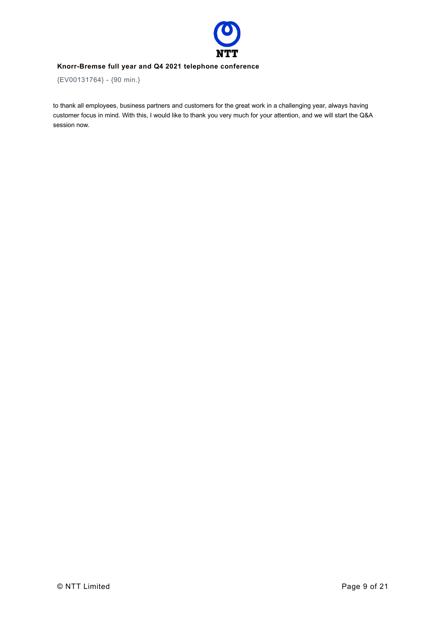

{EV00131764} - {90 min.}

to thank all employees, business partners and customers for the great work in a challenging year, always having customer focus in mind. With this, I would like to thank you very much for your attention, and we will start the Q&A session now.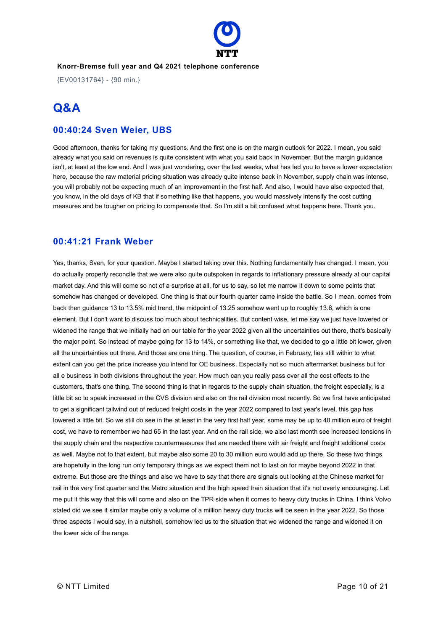

{EV00131764} - {90 min.}

# **Q&A**

### **00:40:24 Sven Weier, UBS**

Good afternoon, thanks for taking my questions. And the first one is on the margin outlook for 2022. I mean, you said already what you said on revenues is quite consistent with what you said back in November. But the margin guidance isn't, at least at the low end. And I was just wondering, over the last weeks, what has led you to have a lower expectation here, because the raw material pricing situation was already quite intense back in November, supply chain was intense, you will probably not be expecting much of an improvement in the first half. And also, I would have also expected that, you know, in the old days of KB that if something like that happens, you would massively intensify the cost cutting measures and be tougher on pricing to compensate that. So I'm still a bit confused what happens here. Thank you.

### **00:41:21 Frank Weber**

Yes, thanks, Sven, for your question. Maybe I started taking over this. Nothing fundamentally has changed. I mean, you do actually properly reconcile that we were also quite outspoken in regards to inflationary pressure already at our capital market day. And this will come so not of a surprise at all, for us to say, so let me narrow it down to some points that somehow has changed or developed. One thing is that our fourth quarter came inside the battle. So I mean, comes from back then guidance 13 to 13.5% mid trend, the midpoint of 13.25 somehow went up to roughly 13.6, which is one element. But I don't want to discuss too much about technicalities. But content wise, let me say we just have lowered or widened the range that we initially had on our table for the year 2022 given all the uncertainties out there, that's basically the major point. So instead of maybe going for 13 to 14%, or something like that, we decided to go a little bit lower, given all the uncertainties out there. And those are one thing. The question, of course, in February, lies still within to what extent can you get the price increase you intend for OE business. Especially not so much aftermarket business but for all e business in both divisions throughout the year. How much can you really pass over all the cost effects to the customers, that's one thing. The second thing is that in regards to the supply chain situation, the freight especially, is a little bit so to speak increased in the CVS division and also on the rail division most recently. So we first have anticipated to get a significant tailwind out of reduced freight costs in the year 2022 compared to last year's level, this gap has lowered a little bit. So we still do see in the at least in the very first half year, some may be up to 40 million euro of freight cost, we have to remember we had 65 in the last year. And on the rail side, we also last month see increased tensions in the supply chain and the respective countermeasures that are needed there with air freight and freight additional costs as well. Maybe not to that extent, but maybe also some 20 to 30 million euro would add up there. So these two things are hopefully in the long run only temporary things as we expect them not to last on for maybe beyond 2022 in that extreme. But those are the things and also we have to say that there are signals out looking at the Chinese market for rail in the very first quarter and the Metro situation and the high speed train situation that it's not overly encouraging. Let me put it this way that this will come and also on the TPR side when it comes to heavy duty trucks in China. I think Volvo stated did we see it similar maybe only a volume of a million heavy duty trucks will be seen in the year 2022. So those three aspects I would say, in a nutshell, somehow led us to the situation that we widened the range and widened it on the lower side of the range.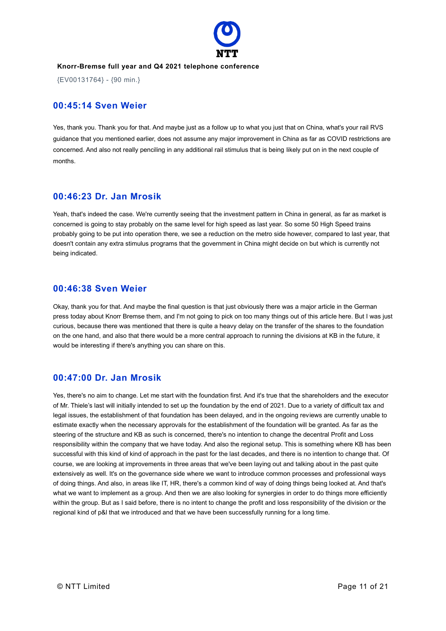

{EV00131764} - {90 min.}

### **00:45:14 Sven Weier**

Yes, thank you. Thank you for that. And maybe just as a follow up to what you just that on China, what's your rail RVS guidance that you mentioned earlier, does not assume any major improvement in China as far as COVID restrictions are concerned. And also not really penciling in any additional rail stimulus that is being likely put on in the next couple of months.

### **00:46:23 Dr. Jan Mrosik**

Yeah, that's indeed the case. We're currently seeing that the investment pattern in China in general, as far as market is concerned is going to stay probably on the same level for high speed as last year. So some 50 High Speed trains probably going to be put into operation there, we see a reduction on the metro side however, compared to last year, that doesn't contain any extra stimulus programs that the government in China might decide on but which is currently not being indicated.

### **00:46:38 Sven Weier**

Okay, thank you for that. And maybe the final question is that just obviously there was a major article in the German press today about Knorr Bremse them, and I'm not going to pick on too many things out of this article here. But I was just curious, because there was mentioned that there is quite a heavy delay on the transfer of the shares to the foundation on the one hand, and also that there would be a more central approach to running the divisions at KB in the future, it would be interesting if there's anything you can share on this.

### **00:47:00 Dr. Jan Mrosik**

Yes, there's no aim to change. Let me start with the foundation first. And it's true that the shareholders and the executor of Mr. Thiele's last will initially intended to set up the foundation by the end of 2021. Due to a variety of difficult tax and legal issues, the establishment of that foundation has been delayed, and in the ongoing reviews are currently unable to estimate exactly when the necessary approvals for the establishment of the foundation will be granted. As far as the steering of the structure and KB as such is concerned, there's no intention to change the decentral Profit and Loss responsibility within the company that we have today. And also the regional setup. This is something where KB has been successful with this kind of kind of approach in the past for the last decades, and there is no intention to change that. Of course, we are looking at improvements in three areas that we've been laying out and talking about in the past quite extensively as well. It's on the governance side where we want to introduce common processes and professional ways of doing things. And also, in areas like IT, HR, there's a common kind of way of doing things being looked at. And that's what we want to implement as a group. And then we are also looking for synergies in order to do things more efficiently within the group. But as I said before, there is no intent to change the profit and loss responsibility of the division or the regional kind of p&l that we introduced and that we have been successfully running for a long time.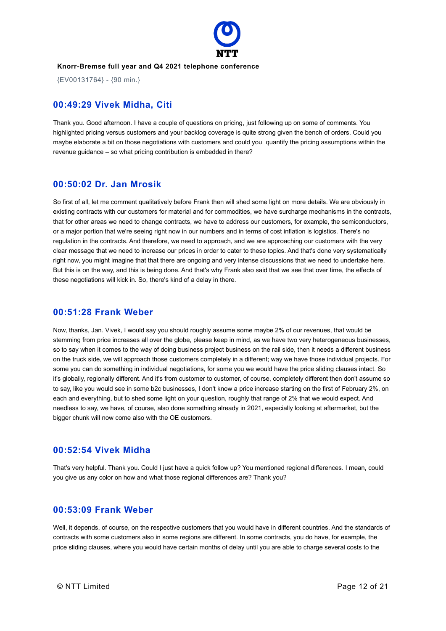

{EV00131764} - {90 min.}

### **00:49:29 Vivek Midha, Citi**

Thank you. Good afternoon. I have a couple of questions on pricing, just following up on some of comments. You highlighted pricing versus customers and your backlog coverage is quite strong given the bench of orders. Could you maybe elaborate a bit on those negotiations with customers and could you quantify the pricing assumptions within the revenue guidance – so what pricing contribution is embedded in there?

### **00:50:02 Dr. Jan Mrosik**

So first of all, let me comment qualitatively before Frank then will shed some light on more details. We are obviously in existing contracts with our customers for material and for commodities, we have surcharge mechanisms in the contracts, that for other areas we need to change contracts, we have to address our customers, for example, the semiconductors, or a major portion that we're seeing right now in our numbers and in terms of cost inflation is logistics. There's no regulation in the contracts. And therefore, we need to approach, and we are approaching our customers with the very clear message that we need to increase our prices in order to cater to these topics. And that's done very systematically right now, you might imagine that that there are ongoing and very intense discussions that we need to undertake here. But this is on the way, and this is being done. And that's why Frank also said that we see that over time, the effects of these negotiations will kick in. So, there's kind of a delay in there.

### **00:51:28 Frank Weber**

Now, thanks, Jan. Vivek, I would say you should roughly assume some maybe 2% of our revenues, that would be stemming from price increases all over the globe, please keep in mind, as we have two very heterogeneous businesses, so to say when it comes to the way of doing business project business on the rail side, then it needs a different business on the truck side, we will approach those customers completely in a different; way we have those individual projects. For some you can do something in individual negotiations, for some you we would have the price sliding clauses intact. So it's globally, regionally different. And it's from customer to customer, of course, completely different then don't assume so to say, like you would see in some b2c businesses, I don't know a price increase starting on the first of February 2%, on each and everything, but to shed some light on your question, roughly that range of 2% that we would expect. And needless to say, we have, of course, also done something already in 2021, especially looking at aftermarket, but the bigger chunk will now come also with the OE customers.

### **00:52:54 Vivek Midha**

That's very helpful. Thank you. Could I just have a quick follow up? You mentioned regional differences. I mean, could you give us any color on how and what those regional differences are? Thank you?

### **00:53:09 Frank Weber**

Well, it depends, of course, on the respective customers that you would have in different countries. And the standards of contracts with some customers also in some regions are different. In some contracts, you do have, for example, the price sliding clauses, where you would have certain months of delay until you are able to charge several costs to the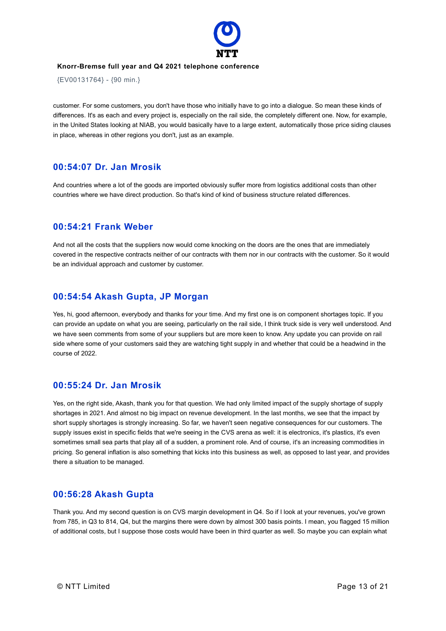

{EV00131764} - {90 min.}

customer. For some customers, you don't have those who initially have to go into a dialogue. So mean these kinds of differences. It's as each and every project is, especially on the rail side, the completely different one. Now, for example, in the United States looking at NIAB, you would basically have to a large extent, automatically those price siding clauses in place, whereas in other regions you don't, just as an example.

### **00:54:07 Dr. Jan Mrosik**

And countries where a lot of the goods are imported obviously suffer more from logistics additional costs than other countries where we have direct production. So that's kind of kind of business structure related differences.

### **00:54:21 Frank Weber**

And not all the costs that the suppliers now would come knocking on the doors are the ones that are immediately covered in the respective contracts neither of our contracts with them nor in our contracts with the customer. So it would be an individual approach and customer by customer.

### **00:54:54 Akash Gupta, JP Morgan**

Yes, hi, good afternoon, everybody and thanks for your time. And my first one is on component shortages topic. If you can provide an update on what you are seeing, particularly on the rail side, I think truck side is very well understood. And we have seen comments from some of your suppliers but are more keen to know. Any update you can provide on rail side where some of your customers said they are watching tight supply in and whether that could be a headwind in the course of 2022.

### **00:55:24 Dr. Jan Mrosik**

Yes, on the right side, Akash, thank you for that question. We had only limited impact of the supply shortage of supply shortages in 2021. And almost no big impact on revenue development. In the last months, we see that the impact by short supply shortages is strongly increasing. So far, we haven't seen negative consequences for our customers. The supply issues exist in specific fields that we're seeing in the CVS arena as well: it is electronics, it's plastics, it's even sometimes small sea parts that play all of a sudden, a prominent role. And of course, it's an increasing commodities in pricing. So general inflation is also something that kicks into this business as well, as opposed to last year, and provides there a situation to be managed.

### **00:56:28 Akash Gupta**

Thank you. And my second question is on CVS margin development in Q4. So if I look at your revenues, you've grown from 785, in Q3 to 814, Q4, but the margins there were down by almost 300 basis points. I mean, you flagged 15 million of additional costs, but I suppose those costs would have been in third quarter as well. So maybe you can explain what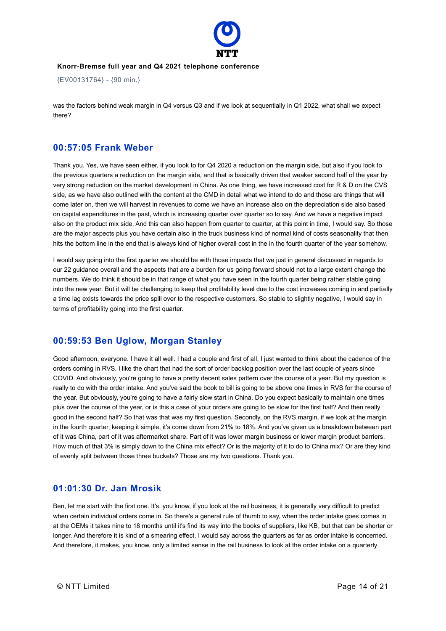

{EV00131764} - {90 min.}

was the factors behind weak margin in Q4 versus Q3 and if we look at sequentially in Q1 2022, what shall we expect there?

### **00:57:05 Frank Weber**

Thank you. Yes, we have seen either, if you look to for Q4 2020 a reduction on the margin side, but also if you look to the previous quarters a reduction on the margin side, and that is basically driven that weaker second half of the year by very strong reduction on the market development in China. As one thing, we have increased cost for R & D on the CVS side, as we have also outlined with the content at the CMD in detail what we intend to do and those are things that will come later on, then we will harvest in revenues to come we have an increase also on the depreciation side also based on capital expenditures in the past, which is increasing quarter over quarter so to say. And we have a negative impact also on the product mix side. And this can also happen from quarter to quarter, at this point in time, I would say. So those are the major aspects plus you have certain also in the truck business kind of normal kind of costs seasonality that then hits the bottom line in the end that is always kind of higher overall cost in the in the fourth quarter of the year somehow.

I would say going into the first quarter we should be with those impacts that we just in general discussed in regards to our 22 guidance overall and the aspects that are a burden for us going forward should not to a large extent change the numbers. We do think it should be in that range of what you have seen in the fourth quarter being rather stable going into the new year. But it will be challenging to keep that profitability level due to the cost increases coming in and partially a time lag exists towards the price spill over to the respective customers. So stable to slightly negative, I would say in terms of profitability going into the first quarter.

### **00:59:53 Ben Uglow, Morgan Stanley**

Good afternoon, everyone. I have it all well. I had a couple and first of all, I just wanted to think about the cadence of the orders coming in RVS. I like the chart that had the sort of order backlog position over the last couple of years since COVID. And obviously, you're going to have a pretty decent sales pattern over the course of a year. But my question is really to do with the order intake. And you've said the book to bill is going to be above one times in RVS for the course of the year. But obviously, you're going to have a fairly slow start in China. Do you expect basically to maintain one times plus over the course of the year, or is this a case of your orders are going to be slow for the first half? And then really good in the second half? So that was that was my first question. Secondly, on the RVS margin, if we look at the margin in the fourth quarter, keeping it simple, it's come down from 21% to 18%. And you've given us a breakdown between part of it was China, part of it was aftermarket share. Part of it was lower margin business or lower margin product barriers. How much of that 3% is simply down to the China mix effect? Or is the majority of it to do to China mix? Or are they kind of evenly split between those three buckets? Those are my two questions. Thank you.

### **01:01:30 Dr. Jan Mrosik**

Ben, let me start with the first one. It's, you know, if you look at the rail business, it is generally very difficult to predict when certain individual orders come in. So there's a general rule of thumb to say, when the order intake goes comes in at the OEMs it takes nine to 18 months until it's find its way into the books of suppliers, like KB, but that can be shorter or longer. And therefore it is kind of a smearing effect, I would say across the quarters as far as order intake is concerned. And therefore, it makes, you know, only a limited sense in the rail business to look at the order intake on a quarterly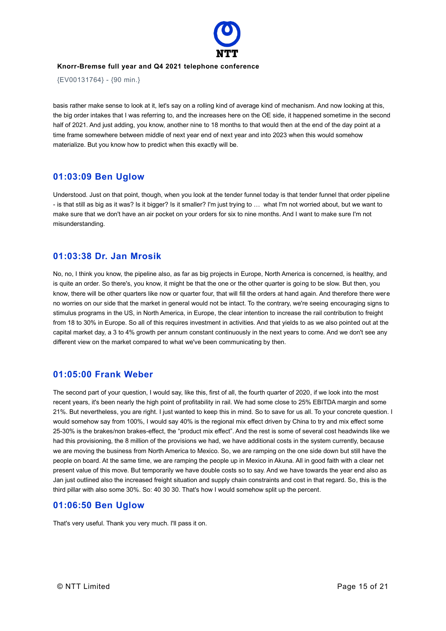

{EV00131764} - {90 min.}

basis rather make sense to look at it, let's say on a rolling kind of average kind of mechanism. And now looking at this, the big order intakes that I was referring to, and the increases here on the OE side, it happened sometime in the second half of 2021. And just adding, you know, another nine to 18 months to that would then at the end of the day point at a time frame somewhere between middle of next year end of next year and into 2023 when this would somehow materialize. But you know how to predict when this exactly will be.

### **01:03:09 Ben Uglow**

Understood. Just on that point, though, when you look at the tender funnel today is that tender funnel that order pipeline - is that still as big as it was? Is it bigger? Is it smaller? I'm just trying to … what I'm not worried about, but we want to make sure that we don't have an air pocket on your orders for six to nine months. And I want to make sure I'm not misunderstanding.

### **01:03:38 Dr. Jan Mrosik**

No, no, I think you know, the pipeline also, as far as big projects in Europe, North America is concerned, is healthy, and is quite an order. So there's, you know, it might be that the one or the other quarter is going to be slow. But then, you know, there will be other quarters like now or quarter four, that will fill the orders at hand again. And therefore there were no worries on our side that the market in general would not be intact. To the contrary, we're seeing encouraging signs to stimulus programs in the US, in North America, in Europe, the clear intention to increase the rail contribution to freight from 18 to 30% in Europe. So all of this requires investment in activities. And that yields to as we also pointed out at the capital market day, a 3 to 4% growth per annum constant continuously in the next years to come. And we don't see any different view on the market compared to what we've been communicating by then.

### **01:05:00 Frank Weber**

The second part of your question, I would say, like this, first of all, the fourth quarter of 2020, if we look into the most recent years, it's been nearly the high point of profitability in rail. We had some close to 25% EBITDA margin and some 21%. But nevertheless, you are right. I just wanted to keep this in mind. So to save for us all. To your concrete question. I would somehow say from 100%, I would say 40% is the regional mix effect driven by China to try and mix effect some 25-30% is the brakes/non brakes-effect, the "product mix effect". And the rest is some of several cost headwinds like we had this provisioning, the 8 million of the provisions we had, we have additional costs in the system currently, because we are moving the business from North America to Mexico. So, we are ramping on the one side down but still have the people on board. At the same time, we are ramping the people up in Mexico in Akuna. All in good faith with a clear net present value of this move. But temporarily we have double costs so to say. And we have towards the year end also as Jan just outlined also the increased freight situation and supply chain constraints and cost in that regard. So, this is the third pillar with also some 30%. So: 40 30 30. That's how I would somehow split up the percent.

### **01:06:50 Ben Uglow**

That's very useful. Thank you very much. I'll pass it on.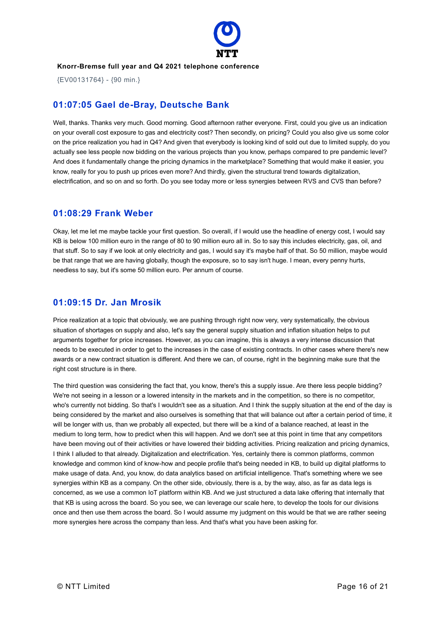

{EV00131764} - {90 min.}

### **01:07:05 Gael de-Bray, Deutsche Bank**

Well, thanks. Thanks very much. Good morning. Good afternoon rather everyone. First, could you give us an indication on your overall cost exposure to gas and electricity cost? Then secondly, on pricing? Could you also give us some color on the price realization you had in Q4? And given that everybody is looking kind of sold out due to limited supply, do you actually see less people now bidding on the various projects than you know, perhaps compared to pre pandemic level? And does it fundamentally change the pricing dynamics in the marketplace? Something that would make it easier, you know, really for you to push up prices even more? And thirdly, given the structural trend towards digitalization, electrification, and so on and so forth. Do you see today more or less synergies between RVS and CVS than before?

### **01:08:29 Frank Weber**

Okay, let me let me maybe tackle your first question. So overall, if I would use the headline of energy cost, I would say KB is below 100 million euro in the range of 80 to 90 million euro all in. So to say this includes electricity, gas, oil, and that stuff. So to say if we look at only electricity and gas, I would say it's maybe half of that. So 50 million, maybe would be that range that we are having globally, though the exposure, so to say isn't huge. I mean, every penny hurts, needless to say, but it's some 50 million euro. Per annum of course.

### **01:09:15 Dr. Jan Mrosik**

Price realization at a topic that obviously, we are pushing through right now very, very systematically, the obvious situation of shortages on supply and also, let's say the general supply situation and inflation situation helps to put arguments together for price increases. However, as you can imagine, this is always a very intense discussion that needs to be executed in order to get to the increases in the case of existing contracts. In other cases where there's new awards or a new contract situation is different. And there we can, of course, right in the beginning make sure that the right cost structure is in there.

The third question was considering the fact that, you know, there's this a supply issue. Are there less people bidding? We're not seeing in a lesson or a lowered intensity in the markets and in the competition, so there is no competitor, who's currently not bidding. So that's I wouldn't see as a situation. And I think the supply situation at the end of the day is being considered by the market and also ourselves is something that that will balance out after a certain period of time, it will be longer with us, than we probably all expected, but there will be a kind of a balance reached, at least in the medium to long term, how to predict when this will happen. And we don't see at this point in time that any competitors have been moving out of their activities or have lowered their bidding activities. Pricing realization and pricing dynamics, I think I alluded to that already. Digitalization and electrification. Yes, certainly there is common platforms, common knowledge and common kind of know-how and people profile that's being needed in KB, to build up digital platforms to make usage of data. And, you know, do data analytics based on artificial intelligence. That's something where we see synergies within KB as a company. On the other side, obviously, there is a, by the way, also, as far as data legs is concerned, as we use a common IoT platform within KB. And we just structured a data lake offering that internally that that KB is using across the board. So you see, we can leverage our scale here, to develop the tools for our divisions once and then use them across the board. So I would assume my judgment on this would be that we are rather seeing more synergies here across the company than less. And that's what you have been asking for.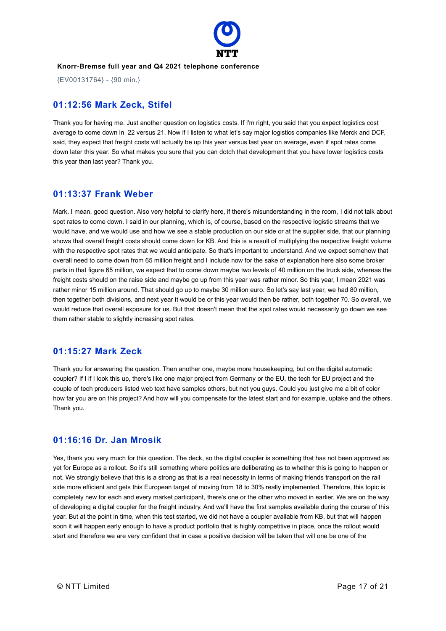

{EV00131764} - {90 min.}

### **01:12:56 Mark Zeck, Stifel**

Thank you for having me. Just another question on logistics costs. If I'm right, you said that you expect logistics cost average to come down in 22 versus 21. Now if I listen to what let's say major logistics companies like Merck and DCF, said, they expect that freight costs will actually be up this year versus last year on average, even if spot rates come down later this year. So what makes you sure that you can dotch that development that you have lower logistics costs this year than last year? Thank you.

### **01:13:37 Frank Weber**

Mark. I mean, good question. Also very helpful to clarify here, if there's misunderstanding in the room, I did not talk about spot rates to come down. I said in our planning, which is, of course, based on the respective logistic streams that we would have, and we would use and how we see a stable production on our side or at the supplier side, that our planning shows that overall freight costs should come down for KB. And this is a result of multiplying the respective freight volume with the respective spot rates that we would anticipate. So that's important to understand. And we expect somehow that overall need to come down from 65 million freight and I include now for the sake of explanation here also some broker parts in that figure 65 million, we expect that to come down maybe two levels of 40 million on the truck side, whereas the freight costs should on the raise side and maybe go up from this year was rather minor. So this year, I mean 2021 was rather minor 15 million around. That should go up to maybe 30 million euro. So let's say last year, we had 80 million, then together both divisions, and next year it would be or this year would then be rather, both together 70. So overall, we would reduce that overall exposure for us. But that doesn't mean that the spot rates would necessarily go down we see them rather stable to slightly increasing spot rates.

### **01:15:27 Mark Zeck**

Thank you for answering the question. Then another one, maybe more housekeeping, but on the digital automatic coupler? If I if I look this up, there's like one major project from Germany or the EU, the tech for EU project and the couple of tech producers listed web text have samples others, but not you guys. Could you just give me a bit of color how far you are on this project? And how will you compensate for the latest start and for example, uptake and the others. Thank you.

### **01:16:16 Dr. Jan Mrosik**

Yes, thank you very much for this question. The deck, so the digital coupler is something that has not been approved as yet for Europe as a rollout. So it's still something where politics are deliberating as to whether this is going to happen or not. We strongly believe that this is a strong as that is a real necessity in terms of making friends transport on the rail side more efficient and gets this European target of moving from 18 to 30% really implemented. Therefore, this topic is completely new for each and every market participant, there's one or the other who moved in earlier. We are on the way of developing a digital coupler for the freight industry. And we'll have the first samples available during the course of this year. But at the point in time, when this test started, we did not have a coupler available from KB, but that will happen soon it will happen early enough to have a product portfolio that is highly competitive in place, once the rollout would start and therefore we are very confident that in case a positive decision will be taken that will one be one of the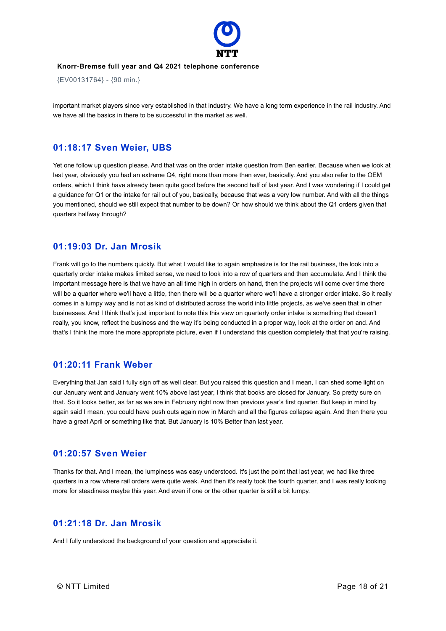

{EV00131764} - {90 min.}

important market players since very established in that industry. We have a long term experience in the rail industry. And we have all the basics in there to be successful in the market as well.

### **01:18:17 Sven Weier, UBS**

Yet one follow up question please. And that was on the order intake question from Ben earlier. Because when we look at last year, obviously you had an extreme Q4, right more than more than ever, basically. And you also refer to the OEM orders, which I think have already been quite good before the second half of last year. And I was wondering if I could get a guidance for Q1 or the intake for rail out of you, basically, because that was a very low number. And with all the things you mentioned, should we still expect that number to be down? Or how should we think about the Q1 orders given that quarters halfway through?

### **01:19:03 Dr. Jan Mrosik**

Frank will go to the numbers quickly. But what I would like to again emphasize is for the rail business, the look into a quarterly order intake makes limited sense, we need to look into a row of quarters and then accumulate. And I think the important message here is that we have an all time high in orders on hand, then the projects will come over time there will be a quarter where we'll have a little, then there will be a quarter where we'll have a stronger order intake. So it really comes in a lumpy way and is not as kind of distributed across the world into little projects, as we've seen that in other businesses. And I think that's just important to note this this view on quarterly order intake is something that doesn't really, you know, reflect the business and the way it's being conducted in a proper way, look at the order on and. And that's I think the more the more appropriate picture, even if I understand this question completely that that you're raising.

### **01:20:11 Frank Weber**

Everything that Jan said I fully sign off as well clear. But you raised this question and I mean, I can shed some light on our January went and January went 10% above last year, I think that books are closed for January. So pretty sure on that. So it looks better, as far as we are in February right now than previous year's first quarter. But keep in mind by again said I mean, you could have push outs again now in March and all the figures collapse again. And then there you have a great April or something like that. But January is 10% Better than last year.

### **01:20:57 Sven Weier**

Thanks for that. And I mean, the lumpiness was easy understood. It's just the point that last year, we had like three quarters in a row where rail orders were quite weak. And then it's really took the fourth quarter, and I was really looking more for steadiness maybe this year. And even if one or the other quarter is still a bit lumpy.

### **01:21:18 Dr. Jan Mrosik**

And I fully understood the background of your question and appreciate it.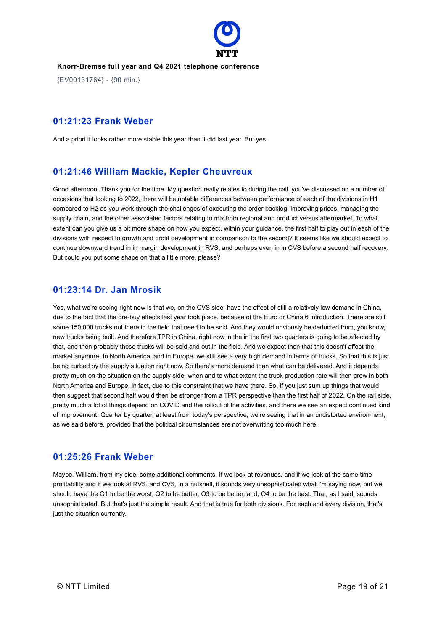

{EV00131764} - {90 min.}

### **01:21:23 Frank Weber**

And a priori it looks rather more stable this year than it did last year. But yes.

### **01:21:46 William Mackie, Kepler Cheuvreux**

Good afternoon. Thank you for the time. My question really relates to during the call, you've discussed on a number of occasions that looking to 2022, there will be notable differences between performance of each of the divisions in H1 compared to H2 as you work through the challenges of executing the order backlog, improving prices, managing the supply chain, and the other associated factors relating to mix both regional and product versus aftermarket. To what extent can you give us a bit more shape on how you expect, within your guidance, the first half to play out in each of the divisions with respect to growth and profit development in comparison to the second? It seems like we should expect to continue downward trend in in margin development in RVS, and perhaps even in in CVS before a second half recovery. But could you put some shape on that a little more, please?

### **01:23:14 Dr. Jan Mrosik**

Yes, what we're seeing right now is that we, on the CVS side, have the effect of still a relatively low demand in China, due to the fact that the pre-buy effects last year took place, because of the Euro or China 6 introduction. There are still some 150,000 trucks out there in the field that need to be sold. And they would obviously be deducted from, you know, new trucks being built. And therefore TPR in China, right now in the in the first two quarters is going to be affected by that, and then probably these trucks will be sold and out in the field. And we expect then that this doesn't affect the market anymore. In North America, and in Europe, we still see a very high demand in terms of trucks. So that this is just being curbed by the supply situation right now. So there's more demand than what can be delivered. And it depends pretty much on the situation on the supply side, when and to what extent the truck production rate will then grow in both North America and Europe, in fact, due to this constraint that we have there. So, if you just sum up things that would then suggest that second half would then be stronger from a TPR perspective than the first half of 2022. On the rail side, pretty much a lot of things depend on COVID and the rollout of the activities, and there we see an expect continued kind of improvement. Quarter by quarter, at least from today's perspective, we're seeing that in an undistorted environment, as we said before, provided that the political circumstances are not overwriting too much here.

### **01:25:26 Frank Weber**

Maybe, William, from my side, some additional comments. If we look at revenues, and if we look at the same time profitability and if we look at RVS, and CVS, in a nutshell, it sounds very unsophisticated what I'm saying now, but we should have the Q1 to be the worst, Q2 to be better, Q3 to be better, and, Q4 to be the best. That, as I said, sounds unsophisticated. But that's just the simple result. And that is true for both divisions. For each and every division, that's just the situation currently.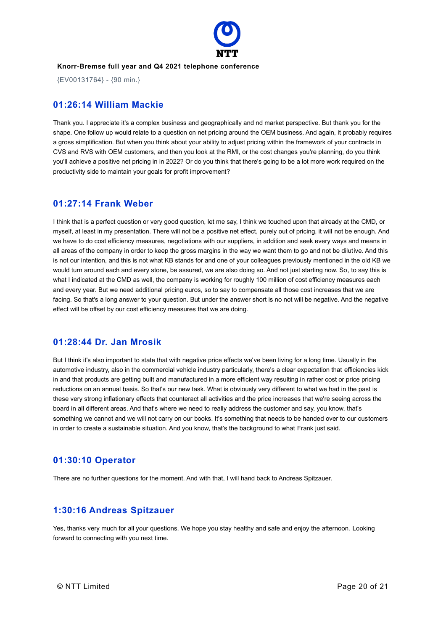

{EV00131764} - {90 min.}

### **01:26:14 William Mackie**

Thank you. I appreciate it's a complex business and geographically and nd market perspective. But thank you for the shape. One follow up would relate to a question on net pricing around the OEM business. And again, it probably requires a gross simplification. But when you think about your ability to adjust pricing within the framework of your contracts in CVS and RVS with OEM customers, and then you look at the RMI, or the cost changes you're planning, do you think you'll achieve a positive net pricing in in 2022? Or do you think that there's going to be a lot more work required on the productivity side to maintain your goals for profit improvement?

### **01:27:14 Frank Weber**

I think that is a perfect question or very good question, let me say, I think we touched upon that already at the CMD, or myself, at least in my presentation. There will not be a positive net effect, purely out of pricing, it will not be enough. And we have to do cost efficiency measures, negotiations with our suppliers, in addition and seek every ways and means in all areas of the company in order to keep the gross margins in the way we want them to go and not be dilutive. And this is not our intention, and this is not what KB stands for and one of your colleagues previously mentioned in the old KB we would turn around each and every stone, be assured, we are also doing so. And not just starting now. So, to say this is what I indicated at the CMD as well, the company is working for roughly 100 million of cost efficiency measures each and every year. But we need additional pricing euros, so to say to compensate all those cost increases that we are facing. So that's a long answer to your question. But under the answer short is no not will be negative. And the negative effect will be offset by our cost efficiency measures that we are doing.

### **01:28:44 Dr. Jan Mrosik**

But I think it's also important to state that with negative price effects we've been living for a long time. Usually in the automotive industry, also in the commercial vehicle industry particularly, there's a clear expectation that efficiencies kick in and that products are getting built and manufactured in a more efficient way resulting in rather cost or price pricing reductions on an annual basis. So that's our new task. What is obviously very different to what we had in the past is these very strong inflationary effects that counteract all activities and the price increases that we're seeing across the board in all different areas. And that's where we need to really address the customer and say, you know, that's something we cannot and we will not carry on our books. It's something that needs to be handed over to our customers in order to create a sustainable situation. And you know, that's the background to what Frank just said.

### **01:30:10 Operator**

There are no further questions for the moment. And with that, I will hand back to Andreas Spitzauer.

### **1:30:16 Andreas Spitzauer**

Yes, thanks very much for all your questions. We hope you stay healthy and safe and enjoy the afternoon. Looking forward to connecting with you next time.